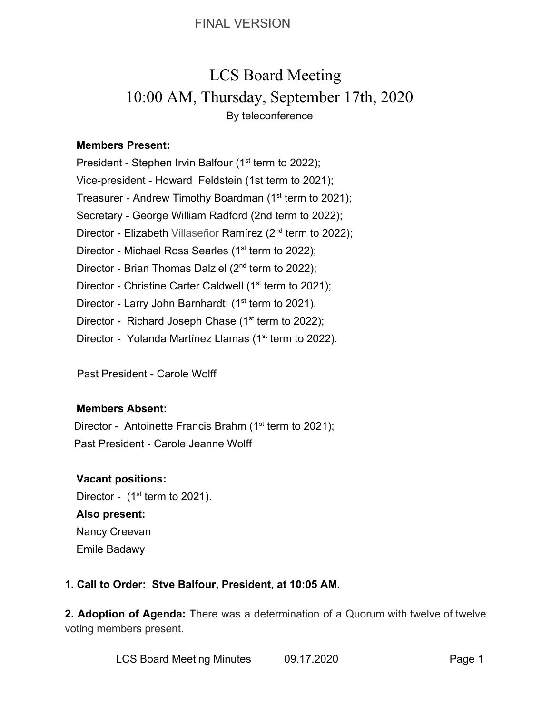# LCS Board Meeting 10:00 AM, Thursday, September 17th, 2020 By teleconference

## **Members Present:**

President - Stephen Irvin Balfour (1<sup>st</sup> term to 2022); Vice-president - Howard Feldstein (1st term to 2021); Treasurer - Andrew Timothy Boardman (1<sup>st</sup> term to 2021); Secretary - George William Radford (2nd term to 2022); Director - Elizabeth Villaseñor Ramírez (2<sup>nd</sup> term to 2022); Director - Michael Ross Searles (1<sup>st</sup> term to 2022); Director - Brian Thomas Dalziel (2<sup>nd</sup> term to 2022); Director - Christine Carter Caldwell (1<sup>st</sup> term to 2021); Director - Larry John Barnhardt; (1<sup>st</sup> term to 2021). Director - Richard Joseph Chase  $(1<sup>st</sup>$  term to 2022); Director - Yolanda Martínez Llamas (1<sup>st</sup> term to 2022).

Past President - Carole Wolff

#### **Members Absent:**

Director - Antoinette Francis Brahm (1<sup>st</sup> term to 2021); Past President - Carole Jeanne Wolff

# **Vacant positions:**

Director -  $(1<sup>st</sup>$  term to 2021). **Also present:** Nancy Creevan Emile Badawy

# **1. Call to Order: Stve Balfour, President, at 10:05 AM.**

**2. Adoption of Agenda:** There was a determination of a Quorum with twelve of twelve voting members present.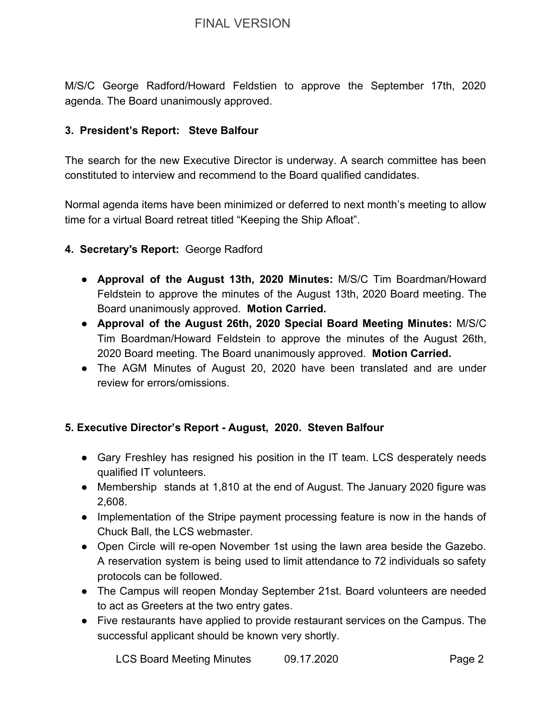M/S/C George Radford/Howard Feldstien to approve the September 17th, 2020 agenda. The Board unanimously approved.

#### **3. President's Report: Steve Balfour**

The search for the new Executive Director is underway. A search committee has been constituted to interview and recommend to the Board qualified candidates.

Normal agenda items have been minimized or deferred to next month's meeting to allow time for a virtual Board retreat titled "Keeping the Ship Afloat".

#### **4. Secretary's Report:** George Radford

- **Approval of the August 13th, 2020 Minutes:** M/S/C Tim Boardman/Howard Feldstein to approve the minutes of the August 13th, 2020 Board meeting. The Board unanimously approved. **Motion Carried.**
- **● Approval of the August 26th, 2020 Special Board Meeting Minutes:** M/S/C Tim Boardman/Howard Feldstein to approve the minutes of the August 26th, 2020 Board meeting. The Board unanimously approved. **Motion Carried.**
- The AGM Minutes of August 20, 2020 have been translated and are under review for errors/omissions.

#### **5. Executive Director's Report - August, 2020. Steven Balfour**

- Gary Freshley has resigned his position in the IT team. LCS desperately needs qualified IT volunteers.
- Membership stands at 1,810 at the end of August. The January 2020 figure was 2,608.
- Implementation of the Stripe payment processing feature is now in the hands of Chuck Ball, the LCS webmaster.
- Open Circle will re-open November 1st using the lawn area beside the Gazebo. A reservation system is being used to limit attendance to 72 individuals so safety protocols can be followed.
- The Campus will reopen Monday September 21st. Board volunteers are needed to act as Greeters at the two entry gates.
- Five restaurants have applied to provide restaurant services on the Campus. The successful applicant should be known very shortly.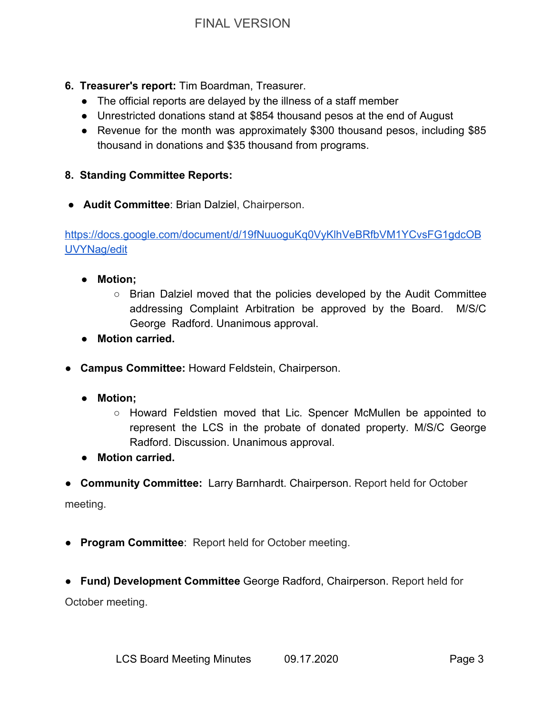- **6. Treasurer's report:** Tim Boardman, Treasurer.
	- **●** The official reports are delayed by the illness of a staff member
	- **●** Unrestricted donations stand at \$854 thousand pesos at the end of August
	- **●** Revenue for the month was approximately \$300 thousand pesos, including \$85 thousand in donations and \$35 thousand from programs.

# **8. Standing Committee Reports:**

● **Audit Committee**: Brian Dalziel, Chairperson.

[https://docs.google.com/document/d/19fNuuoguKq0VyKlhVeBRfbVM1YCvsFG1gdcOB](https://docs.google.com/document/d/19fNuuoguKq0VyKlhVeBRfbVM1YCvsFG1gdcOBUVYNag/edit) [UVYNag/edit](https://docs.google.com/document/d/19fNuuoguKq0VyKlhVeBRfbVM1YCvsFG1gdcOBUVYNag/edit)

- **● Motion;**
	- Brian Dalziel moved that the policies developed by the Audit Committee addressing Complaint Arbitration be approved by the Board. M/S/C George Radford. Unanimous approval.
- **Motion carried.**
- ● **Campus Committee:** Howard Feldstein, Chairperson.
	- **● Motion;**
		- Howard Feldstien moved that Lic. Spencer McMullen be appointed to represent the LCS in the probate of donated property. M/S/C George Radford. Discussion. Unanimous approval.
	- **Motion carried.**
- **Community Committee:** Larry Barnhardt. Chairperson. Report held for October

meeting.

- **Program Committee**: Report held for October meeting.
- **Fund) Development Committee** George Radford, Chairperson. Report held for October meeting.